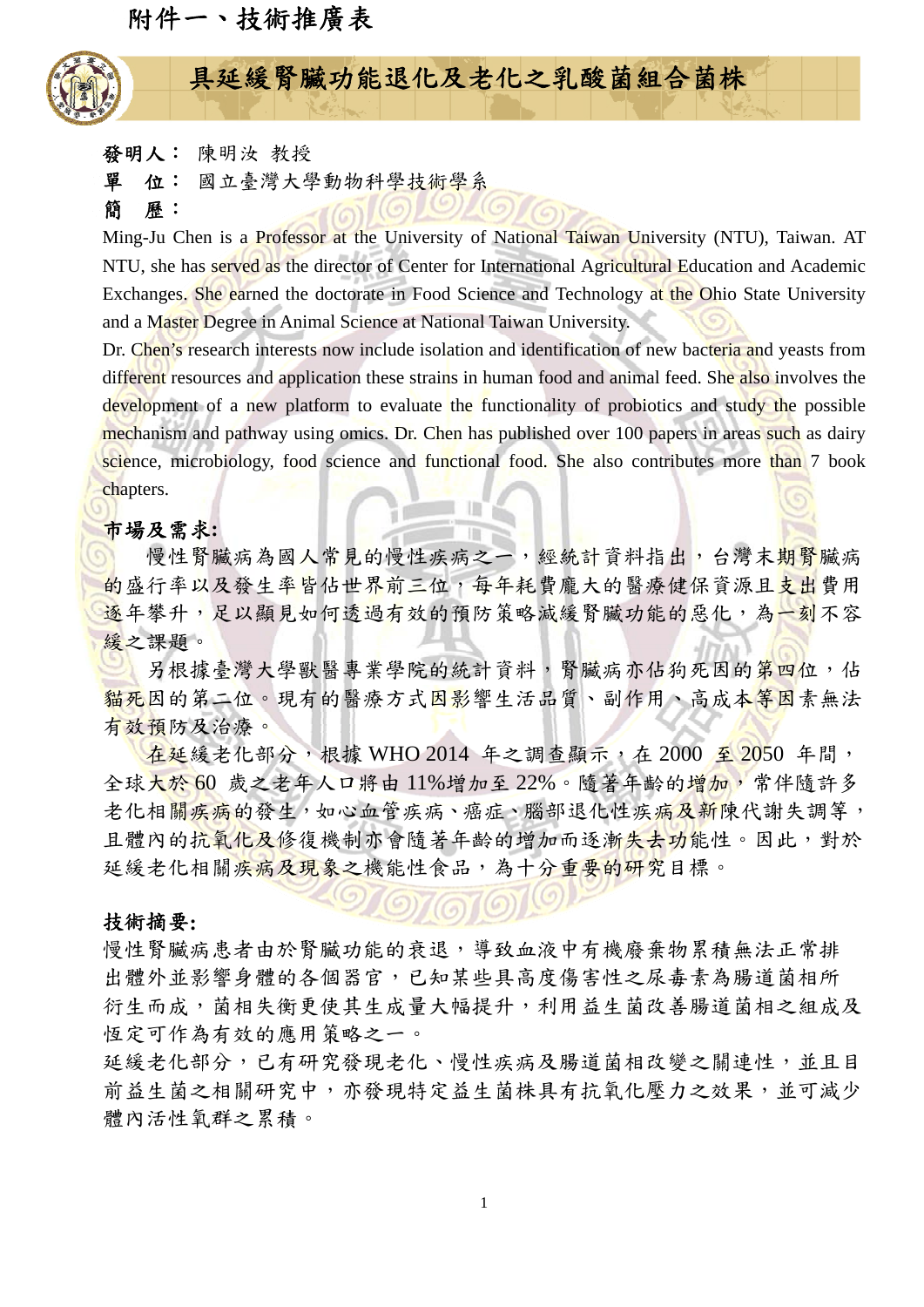附件一、技術推廣表



# 具延緩腎臟功能退化及老化之乳酸菌組合菌株

發明人: 陳明汝 教授

單位: 國立臺灣大學動物科學技術學系

简 **歷**:

Ming-Ju Chen is a Professor at the University of National Taiwan University (NTU), Taiwan. AT NTU, she has served as the director of Center for International Agricultural Education and Academic Exchanges. She earned the doctorate in Food Science and Technology at the Ohio State University and a Master Degree in Animal Science at National Taiwan University.

Dr. Chen's research interests now include isolation and identification of new bacteria and yeasts from different resources and application these strains in human food and animal feed. She also involves the development of a new platform to evaluate the functionality of probiotics and study the possible mechanism and pathway using omics. Dr. Chen has published over 100 papers in areas such as dairy science, microbiology, food science and functional food. She also contributes more than 7 book chapters.

## 市場及需求**:**

慢性腎臟病為國人常見的慢性疾病之一,經統計資料指出,台灣末期腎臟病 的盛行率以及發生率皆佔世界前三位,每年耗費龐大的醫療健保資源且支出費用 逐年攀升,足以顯見如何透過有效的預防策略減緩腎臟功能的惡化,為一刻不容 緩之課題。

另根據臺灣大學獸醫專業學院的統計資料,腎臟病亦佔狗死因的第四位,佔 **貓死因的第二位。現有的醫療方式因影響生活品質、副作用、高成本等因素無法** 有效預防及治療。

在延緩老化部分,根據 WHO 2014 年之調查顯示, 在 2000 至 2050 年間, 全球大於 60 歲之老年人口將由 11%增加至 22%。隨著年齡的增加,常伴隨許多 老化相關疾病的發生,如心血管疾病、癌症、腦部退化性疾病及新陳代謝失調等, 且體內的抗氧化及修復機制亦會隨著年齡的增加而逐漸失去功能性。因此,對於 延緩老化相關疾病及現象之機能性食品,為十分重要的研究目標。

#### 技術摘要**:**

慢性腎臟病患者由於腎臟功能的衰退,導致血液中有機廢棄物累積無法正常排 出體外並影響身體的各個器官,已知某些具高度傷害性之尿毒素為腸道菌相所 衍生而成,菌相失衡更使其生成量大幅提升,利用益生菌改善腸道菌相之組成及 恆定可作為有效的應用策略之一。

延緩老化部分,已有研究發現老化、慢性疾病及腸道菌相改變之關連性,並且目 前益生菌之相關研究中,亦發現特定益生菌株具有抗氧化壓力之效果,並可減少 體內活性氧群之累積。